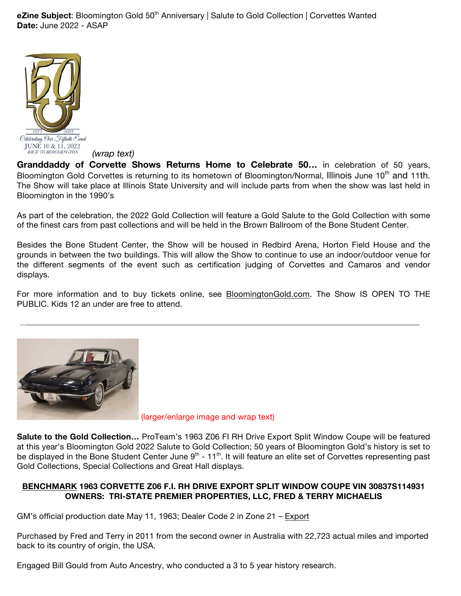**eZine Subject**: Bloomington Gold 50<sup>th</sup> Anniversary | Salute to Gold Collection | Corvettes Wanted **Date:** June 2022 - ASAP



*(wrap text)*

**Granddaddy of Corvette Shows Returns Home to Celebrate 50…** in celebration of 50 years, Bloomington Gold Corvettes is returning to its hometown of Bloomington/Normal, Illinois June 10<sup>th</sup> and 11th. The Show will take place at Illinois State University and will include parts from when the show was last held in Bloomington in the 1990's

As part of the celebration, the 2022 Gold Collection will feature a Gold Salute to the Gold Collection with some of the finest cars from past collections and will be held in the Brown Ballroom of the Bone Student Center.

Besides the Bone Student Center, the Show will be housed in Redbird Arena, Horton Field House and the grounds in between the two buildings. This will allow the Show to continue to use an indoor/outdoor venue for the different segments of the event such as certification judging of Corvettes and Camaros and vendor displays.

For more information and to buy tickets online, see BloomingtonGold.com. The Show IS OPEN TO THE PUBLIC. Kids 12 an under are free to attend.



(larger/enlarge image and wrap text)

**Salute to the Gold Collection…** ProTeam's 1963 Z06 FI RH Drive Export Split Window Coupe will be featured at this year's Bloomington Gold 2022 Salute to Gold Collection; 50 years of Bloomington Gold's history is set to be displayed in the Bone Student Center June  $9<sup>th</sup>$  - 11<sup>th</sup>. It will feature an elite set of Corvettes representing past Gold Collections, Special Collections and Great Hall displays.

## **BENCHMARK 1963 CORVETTE Z06 F.I. RH DRIVE EXPORT SPLIT WINDOW COUPE VIN 30837S114931 OWNERS: TRI-STATE PREMIER PROPERTIES, LLC, FRED & TERRY MICHAELIS**

GM's official production date May 11, 1963; Dealer Code 2 in Zone 21 – Export

Purchased by Fred and Terry in 2011 from the second owner in Australia with 22,723 actual miles and imported back to its country of origin, the USA.

Engaged Bill Gould from Auto Ancestry, who conducted a 3 to 5 year history research.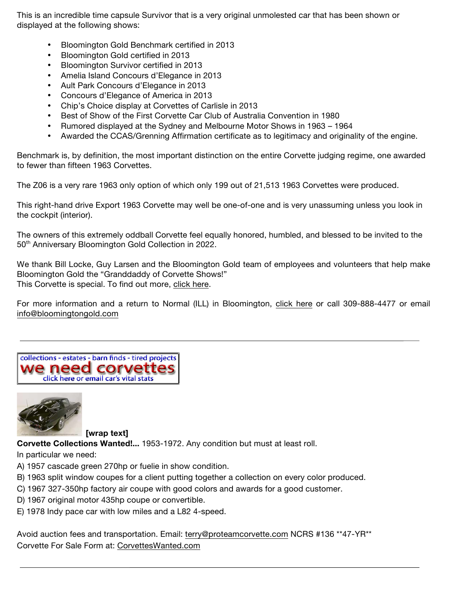This is an incredible time capsule Survivor that is a very original unmolested car that has been shown or displayed at the following shows:

- Bloomington Gold Benchmark certified in 2013
- Bloomington Gold certified in 2013
- Bloomington Survivor certified in 2013
- Amelia Island Concours d'Elegance in 2013
- Ault Park Concours d'Elegance in 2013
- Concours d'Elegance of America in 2013
- Chip's Choice display at Corvettes of Carlisle in 2013
- Best of Show of the First Corvette Car Club of Australia Convention in 1980
- Rumored displayed at the Sydney and Melbourne Motor Shows in 1963 1964
- Awarded the CCAS/Grenning Affirmation certificate as to legitimacy and originality of the engine.

Benchmark is, by definition, the most important distinction on the entire Corvette judging regime, one awarded to fewer than fifteen 1963 Corvettes.

The Z06 is a very rare 1963 only option of which only 199 out of 21,513 1963 Corvettes were produced.

This right-hand drive Export 1963 Corvette may well be one-of-one and is very unassuming unless you look in the cockpit (interior).

The owners of this extremely oddball Corvette feel equally honored, humbled, and blessed to be invited to the 50<sup>th</sup> Anniversary Bloomington Gold Collection in 2022.

We thank Bill Locke, Guy Larsen and the Bloomington Gold team of employees and volunteers that help make Bloomington Gold the "Granddaddy of Corvette Shows!" This Corvette is special. To find out more, click here.

For more information and a return to Normal (ILL) in Bloomington, click here or call 309-888-4477 or email info@bloomingtongold.com





**[wrap text]**

**Corvette Collections Wanted!...** 1953-1972. Any condition but must at least roll.

## In particular we need:

- A) 1957 cascade green 270hp or fuelie in show condition.
- B) 1963 split window coupes for a client putting together a collection on every color produced.
- C) 1967 327-350hp factory air coupe with good colors and awards for a good customer.
- D) 1967 original motor 435hp coupe or convertible.
- E) 1978 Indy pace car with low miles and a L82 4-speed.

Avoid auction fees and transportation. Email: terry@proteamcorvette.com NCRS #136 \*\*47-YR\*\* Corvette For Sale Form at: CorvettesWanted.com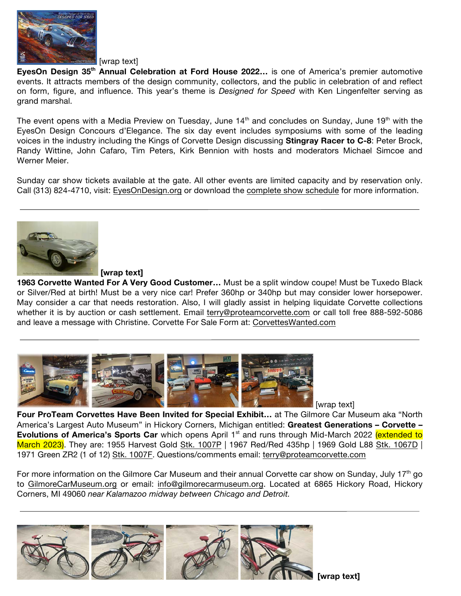

[wrap text]

**EyesOn Design 35th Annual Celebration at Ford House 2022…** is one of America's premier automotive events. It attracts members of the design community, collectors, and the public in celebration of and reflect on form, figure, and influence. This year's theme is *Designed for Speed* with Ken Lingenfelter serving as grand marshal.

The event opens with a Media Preview on Tuesday, June 14<sup>th</sup> and concludes on Sunday, June 19<sup>th</sup> with the EyesOn Design Concours d'Elegance. The six day event includes symposiums with some of the leading voices in the industry including the Kings of Corvette Design discussing **Stingray Racer to C-8**: Peter Brock, Randy Wittine, John Cafaro, Tim Peters, Kirk Bennion with hosts and moderators Michael Simcoe and Werner Meier.

Sunday car show tickets available at the gate. All other events are limited capacity and by reservation only. Call (313) 824-4710, visit: EyesOnDesign.org or download the complete show schedule for more information.



**[wrap text]**

**1963 Corvette Wanted For A Very Good Customer…** Must be a split window coupe! Must be Tuxedo Black or Silver/Red at birth! Must be a very nice car! Prefer 360hp or 340hp but may consider lower horsepower. May consider a car that needs restoration. Also, I will gladly assist in helping liquidate Corvette collections whether it is by auction or cash settlement. Email terry@proteamcorvette.com or call toll free 888-592-5086 and leave a message with Christine. Corvette For Sale Form at: CorvettesWanted.com



[wrap text]

**Four ProTeam Corvettes Have Been Invited for Special Exhibit…** at The Gilmore Car Museum aka "North America's Largest Auto Museum" in Hickory Corners, Michigan entitled: **Greatest Generations – Corvette – Evolutions of America's Sports Car** which opens April 1<sup>st</sup> and runs through Mid-March 2022 (extended to March 2023). They are: 1955 Harvest Gold Stk. 1007P | 1967 Red/Red 435hp | 1969 Gold L88 Stk. 1067D | 1971 Green ZR2 (1 of 12) Stk. 1007F. Questions/comments email: terry@proteamcorvette.com

For more information on the Gilmore Car Museum and their annual Corvette car show on Sunday, July  $17<sup>th</sup>$  go to GilmoreCarMuseum.org or email: info@gilmorecarmuseum.org. Located at 6865 Hickory Road, Hickory Corners, MI 49060 *near Kalamazoo midway between Chicago and Detroit.*



 **[wrap text]**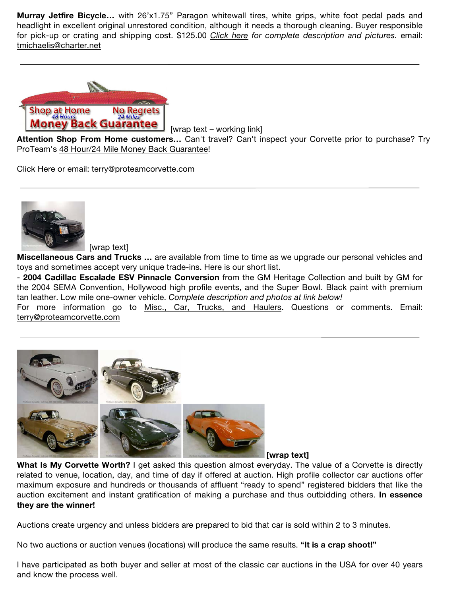**Murray Jetfire Bicycle…** with 26'x1.75" Paragon whitewall tires, white grips, white foot pedal pads and headlight in excellent original unrestored condition, although it needs a thorough cleaning. Buyer responsible for pick-up or crating and shipping cost. \$125.00 *Click here for complete description and pictures.* email: tmichaelis@charter.net



[wrap text – working link]

**Attention Shop From Home customers…** Can't travel? Can't inspect your Corvette prior to purchase? Try ProTeam's 48 Hour/24 Mile Money Back Guarantee!

Click Here or email: terry@proteamcorvette.com



[wrap text]

**Miscellaneous Cars and Trucks …** are available from time to time as we upgrade our personal vehicles and toys and sometimes accept very unique trade-ins. Here is our short list.

- **2004 Cadillac Escalade ESV Pinnacle Conversion** from the GM Heritage Collection and built by GM for the 2004 SEMA Convention, Hollywood high profile events, and the Super Bowl. Black paint with premium tan leather. Low mile one-owner vehicle. *Complete description and photos at link below!*

For more information go to Misc., Car, Trucks, and Haulers. Questions or comments. Email: terry@proteamcorvette.com



**What Is My Corvette Worth?** I get asked this question almost everyday. The value of a Corvette is directly related to venue, location, day, and time of day if offered at auction. High profile collector car auctions offer maximum exposure and hundreds or thousands of affluent "ready to spend" registered bidders that like the auction excitement and instant gratification of making a purchase and thus outbidding others. **In essence they are the winner!**

Auctions create urgency and unless bidders are prepared to bid that car is sold within 2 to 3 minutes.

No two auctions or auction venues (locations) will produce the same results. **"It is a crap shoot!"**

I have participated as both buyer and seller at most of the classic car auctions in the USA for over 40 years and know the process well.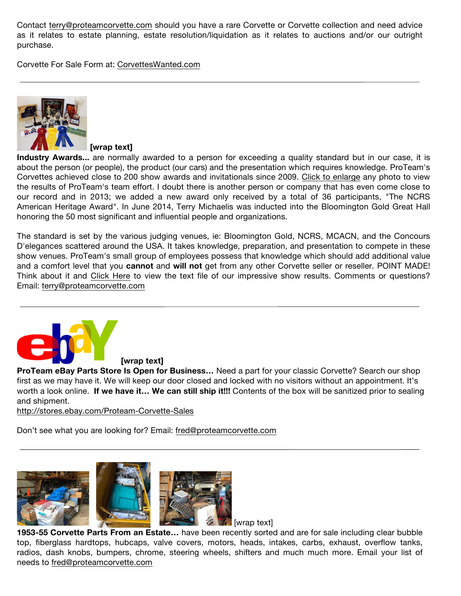Contact terry@proteamcorvette.com should you have a rare Corvette or Corvette collection and need advice as it relates to estate planning, estate resolution/liquidation as it relates to auctions and/or our outright purchase.

Corvette For Sale Form at: CorvettesWanted.com



**[wrap text]**

**Industry Awards...** are normally awarded to a person for exceeding a quality standard but in our case, it is about the person (or people), the product (our cars) and the presentation which requires knowledge. ProTeam's Corvettes achieved close to 200 show awards and invitationals since 2009. Click to enlarge any photo to view the results of ProTeam's team effort. I doubt there is another person or company that has even come close to our record and in 2013; we added a new award only received by a total of 36 participants, "The NCRS American Heritage Award". In June 2014, Terry Michaelis was inducted into the Bloomington Gold Great Hall honoring the 50 most significant and influential people and organizations.

The standard is set by the various judging venues, ie: Bloomington Gold, NCRS, MCACN, and the Concours D'elegances scattered around the USA. It takes knowledge, preparation, and presentation to compete in these show venues. ProTeam's small group of employees possess that knowledge which should add additional value and a comfort level that you **cannot** and **will not** get from any other Corvette seller or reseller. POINT MADE! Think about it and Click Here to view the text file of our impressive show results. Comments or questions? Email: terry@proteamcorvette.com



**[wrap text]**

**ProTeam eBay Parts Store Is Open for Business…** Need a part for your classic Corvette? Search our shop first as we may have it. We will keep our door closed and locked with no visitors without an appointment. It's worth a look online. **If we have it… We can still ship it!!!** Contents of the box will be sanitized prior to sealing and shipment.

http://stores.ebay.com/Proteam-Corvette-Sales

Don't see what you are looking for? Email: fred@proteamcorvette.com



**1953-55 Corvette Parts From an Estate…** have been recently sorted and are for sale including clear bubble top, fiberglass hardtops, hubcaps, valve covers, motors, heads, intakes, carbs, exhaust, overflow tanks, radios, dash knobs, bumpers, chrome, steering wheels, shifters and much much more. Email your list of needs to fred@proteamcorvette.com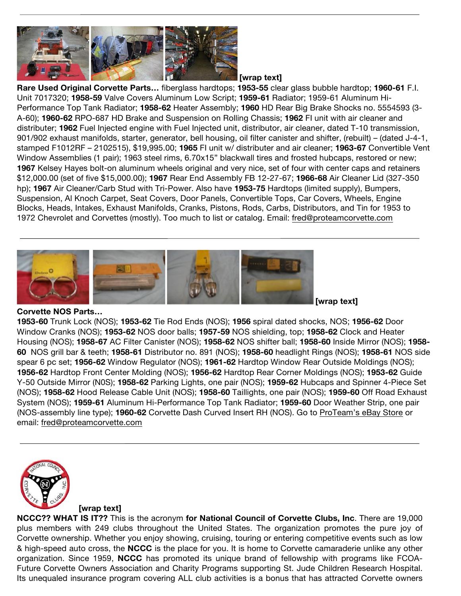

**[wrap text]**

**Rare Used Original Corvette Parts…** fiberglass hardtops; **1953-55** clear glass bubble hardtop; **1960-61** F.I. Unit 7017320; **1958-59** Valve Covers Aluminum Low Script; **1959-61** Radiator; 1959-61 Aluminum Hi-Performance Top Tank Radiator; **1958-62** Heater Assembly; **1960** HD Rear Big Brake Shocks no. 5554593 (3- A-60); **1960-62** RPO-687 HD Brake and Suspension on Rolling Chassis; **1962** FI unit with air cleaner and distributer; **1962** Fuel Injected engine with Fuel Injected unit, distributor, air cleaner, dated T-10 transmission, 901/902 exhaust manifolds, starter, generator, bell housing, oil filter canister and shifter, (rebuilt) – (dated J-4-1, stamped F1012RF – 2102515), \$19,995.00; **1965** FI unit w/ distributer and air cleaner; **1963-67** Convertible Vent Window Assemblies (1 pair); 1963 steel rims, 6.70x15" blackwall tires and frosted hubcaps, restored or new; **1967** Kelsey Hayes bolt-on aluminum wheels original and very nice, set of four with center caps and retainers \$12,000.00 (set of five \$15,000.00); **1967** Rear End Assembly FB 12-27-67; **1966-68** Air Cleaner Lid (327-350 hp); **1967** Air Cleaner/Carb Stud with Tri-Power. Also have **1953-75** Hardtops (limited supply), Bumpers, Suspension, Al Knoch Carpet, Seat Covers, Door Panels, Convertible Tops, Car Covers, Wheels, Engine Blocks, Heads, Intakes, Exhaust Manifolds, Cranks, Pistons, Rods, Carbs, Distributors, and Tin for 1953 to 1972 Chevrolet and Corvettes (mostly). Too much to list or catalog. Email: fred@proteamcorvette.com



## **Corvette NOS Parts…**

**1953-60** Trunk Lock (NOS); **1953-62** Tie Rod Ends (NOS); **1956** spiral dated shocks, NOS; **1956-62** Door Window Cranks (NOS); **1953-62** NOS door balls; **1957-59** NOS shielding, top; **1958-62** Clock and Heater Housing (NOS); **1958-67** AC Filter Canister (NOS); **1958-62** NOS shifter ball; **1958-60** Inside Mirror (NOS); **1958- 60** NOS grill bar & teeth; **1958-61** Distributor no. 891 (NOS); **1958-60** headlight Rings (NOS); **1958-61** NOS side spear 6 pc set; **1956-62** Window Regulator (NOS); **1961-62** Hardtop Window Rear Outside Moldings (NOS); **1956-62** Hardtop Front Center Molding (NOS); **1956-62** Hardtop Rear Corner Moldings (NOS); **1953-62** Guide Y-50 Outside Mirror (N0S); **1958-62** Parking Lights, one pair (NOS); **1959-62** Hubcaps and Spinner 4-Piece Set (NOS); **1958-62** Hood Release Cable Unit (NOS); **1958-60** Taillights, one pair (NOS); **1959-60** Off Road Exhaust System (NOS); **1959-61** Aluminum Hi-Performance Top Tank Radiator; **1959-60** Door Weather Strip, one pair (NOS-assembly line type); **1960-62** Corvette Dash Curved Insert RH (NOS). Go to ProTeam's eBay Store or email: fred@proteamcorvette.com



## **[wrap text]**

**NCCC?? WHAT IS IT??** This is the acronym **for National Council of Corvette Clubs, Inc**. There are 19,000 plus members with 249 clubs throughout the United States. The organization promotes the pure joy of Corvette ownership. Whether you enjoy showing, cruising, touring or entering competitive events such as low & high-speed auto cross, the **NCCC** is the place for you. It is home to Corvette camaraderie unlike any other organization. Since 1959, **NCCC** has promoted its unique brand of fellowship with programs like FCOA-Future Corvette Owners Association and Charity Programs supporting St. Jude Children Research Hospital. Its unequaled insurance program covering ALL club activities is a bonus that has attracted Corvette owners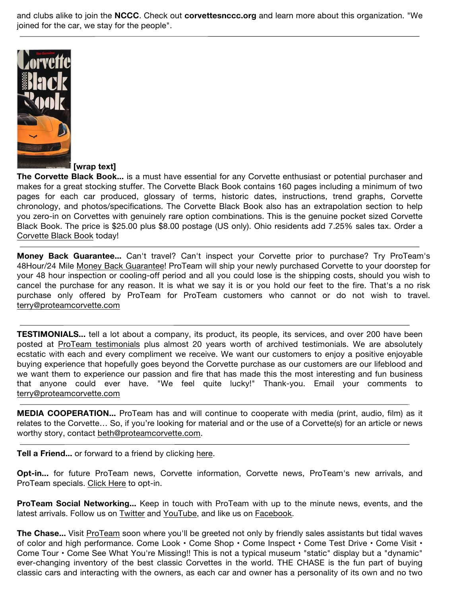and clubs alike to join the **NCCC**. Check out **corvettesnccc.org** and learn more about this organization. "We joined for the car, we stay for the people".



**[wrap text]**

**The Corvette Black Book...** is a must have essential for any Corvette enthusiast or potential purchaser and makes for a great stocking stuffer. The Corvette Black Book contains 160 pages including a minimum of two pages for each car produced, glossary of terms, historic dates, instructions, trend graphs, Corvette chronology, and photos/specifications. The Corvette Black Book also has an extrapolation section to help you zero-in on Corvettes with genuinely rare option combinations. This is the genuine pocket sized Corvette Black Book. The price is \$25.00 plus \$8.00 postage (US only). Ohio residents add 7.25% sales tax. Order a Corvette Black Book today!

**Money Back Guarantee...** Can't travel? Can't inspect your Corvette prior to purchase? Try ProTeam's 48Hour/24 Mile Money Back Guarantee! ProTeam will ship your newly purchased Corvette to your doorstep for your 48 hour inspection or cooling-off period and all you could lose is the shipping costs, should you wish to cancel the purchase for any reason. It is what we say it is or you hold our feet to the fire. That's a no risk purchase only offered by ProTeam for ProTeam customers who cannot or do not wish to travel. terry@proteamcorvette.com

**TESTIMONIALS...** tell a lot about a company, its product, its people, its services, and over 200 have been posted at ProTeam testimonials plus almost 20 years worth of archived testimonials. We are absolutely ecstatic with each and every compliment we receive. We want our customers to enjoy a positive enjoyable buying experience that hopefully goes beyond the Corvette purchase as our customers are our lifeblood and we want them to experience our passion and fire that has made this the most interesting and fun business that anyone could ever have. "We feel quite lucky!" Thank-you. Email your comments to terry@proteamcorvette.com

**MEDIA COOPERATION...** ProTeam has and will continue to cooperate with media (print, audio, film) as it relates to the Corvette… So, if you're looking for material and or the use of a Corvette(s) for an article or news worthy story, contact beth@proteamcorvette.com.

**Tell a Friend...** or forward to a friend by clicking here.

**Opt-in...** for future ProTeam news, Corvette information, Corvette news, ProTeam's new arrivals, and ProTeam specials. Click Here to opt-in.

**ProTeam Social Networking...** Keep in touch with ProTeam with up to the minute news, events, and the latest arrivals. Follow us on Twitter and YouTube, and like us on Facebook.

The Chase... Visit ProTeam soon where you'll be greeted not only by friendly sales assistants but tidal waves of color and high performance. Come Look • Come Shop • Come Inspect • Come Test Drive • Come Visit • Come Tour • Come See What You're Missing!! This is not a typical museum "static" display but a "dynamic" ever-changing inventory of the best classic Corvettes in the world. THE CHASE is the fun part of buying classic cars and interacting with the owners, as each car and owner has a personality of its own and no two